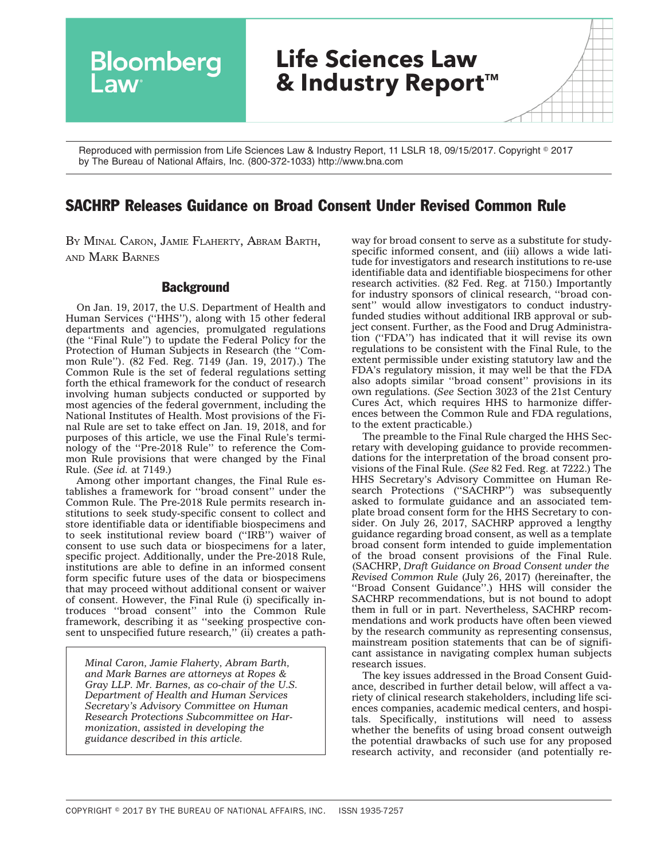Bloomberg **Life Sciences Law & Industry Report™ Law** 

Reproduced with permission from Life Sciences Law & Industry Report, 11 LSLR 18, 09/15/2017. Copyright © 2017 by The Bureau of National Affairs, Inc. (800-372-1033) http://www.bna.com

# SACHRP Releases Guidance on Broad Consent Under Revised Common Rule

BY MINAL CARON, JAMIE FLAHERTY, ABRAM BARTH, AND MARK BARNES

# **Background**

On Jan. 19, 2017, the U.S. Department of Health and Human Services (''HHS''), along with 15 other federal departments and agencies, promulgated regulations (the ''Final Rule'') to update the Federal Policy for the Protection of Human Subjects in Research (the ''Common Rule''). (82 Fed. Reg. 7149 (Jan. 19, 2017).) The Common Rule is the set of federal regulations setting forth the ethical framework for the conduct of research involving human subjects conducted or supported by most agencies of the federal government, including the National Institutes of Health. Most provisions of the Final Rule are set to take effect on Jan. 19, 2018, and for purposes of this article, we use the Final Rule's terminology of the ''Pre-2018 Rule'' to reference the Common Rule provisions that were changed by the Final Rule. (*See id.* at 7149.)

Among other important changes, the Final Rule establishes a framework for ''broad consent'' under the Common Rule. The Pre-2018 Rule permits research institutions to seek study-specific consent to collect and store identifiable data or identifiable biospecimens and to seek institutional review board (''IRB'') waiver of consent to use such data or biospecimens for a later, specific project. Additionally, under the Pre-2018 Rule, institutions are able to define in an informed consent form specific future uses of the data or biospecimens that may proceed without additional consent or waiver of consent. However, the Final Rule (i) specifically introduces ''broad consent'' into the Common Rule framework, describing it as ''seeking prospective consent to unspecified future research,'' (ii) creates a path-

*Minal Caron, Jamie Flaherty, Abram Barth, and Mark Barnes are attorneys at Ropes & Gray LLP. Mr. Barnes, as co-chair of the U.S. Department of Health and Human Services Secretary's Advisory Committee on Human Research Protections Subcommittee on Harmonization, assisted in developing the guidance described in this article.*

way for broad consent to serve as a substitute for studyspecific informed consent, and (iii) allows a wide latitude for investigators and research institutions to re-use identifiable data and identifiable biospecimens for other research activities. (82 Fed. Reg. at 7150.) Importantly for industry sponsors of clinical research, ''broad consent'' would allow investigators to conduct industryfunded studies without additional IRB approval or subject consent. Further, as the Food and Drug Administration (''FDA'') has indicated that it will revise its own regulations to be consistent with the Final Rule, to the extent permissible under existing statutory law and the FDA's regulatory mission, it may well be that the FDA also adopts similar ''broad consent'' provisions in its own regulations. (*See* Section 3023 of the 21st Century Cures Act, which requires HHS to harmonize differences between the Common Rule and FDA regulations, to the extent practicable.)

The preamble to the Final Rule charged the HHS Secretary with developing guidance to provide recommendations for the interpretation of the broad consent provisions of the Final Rule. (*See* 82 Fed. Reg. at 7222.) The HHS Secretary's Advisory Committee on Human Research Protections ("SACHRP") was subsequently asked to formulate guidance and an associated template broad consent form for the HHS Secretary to consider. On July 26, 2017, SACHRP approved a lengthy [guidance](http://src.bna.com/rJc) regarding broad consent, as well as a [template](http://src.bna.com/rJd) [broad consent form](http://src.bna.com/rJd) intended to guide implementation of the broad consent provisions of the Final Rule. (SACHRP, *Draft Guidance on Broad Consent under the Revised Common Rule* (July 26, 2017) (hereinafter, the ''Broad Consent Guidance''.) HHS will consider the SACHRP recommendations, but is not bound to adopt them in full or in part. Nevertheless, SACHRP recommendations and work products have often been viewed by the research community as representing consensus, mainstream position statements that can be of significant assistance in navigating complex human subjects research issues.

The key issues addressed in the Broad Consent Guidance, described in further detail below, will affect a variety of clinical research stakeholders, including life sciences companies, academic medical centers, and hospitals. Specifically, institutions will need to assess whether the benefits of using broad consent outweigh the potential drawbacks of such use for any proposed research activity, and reconsider (and potentially re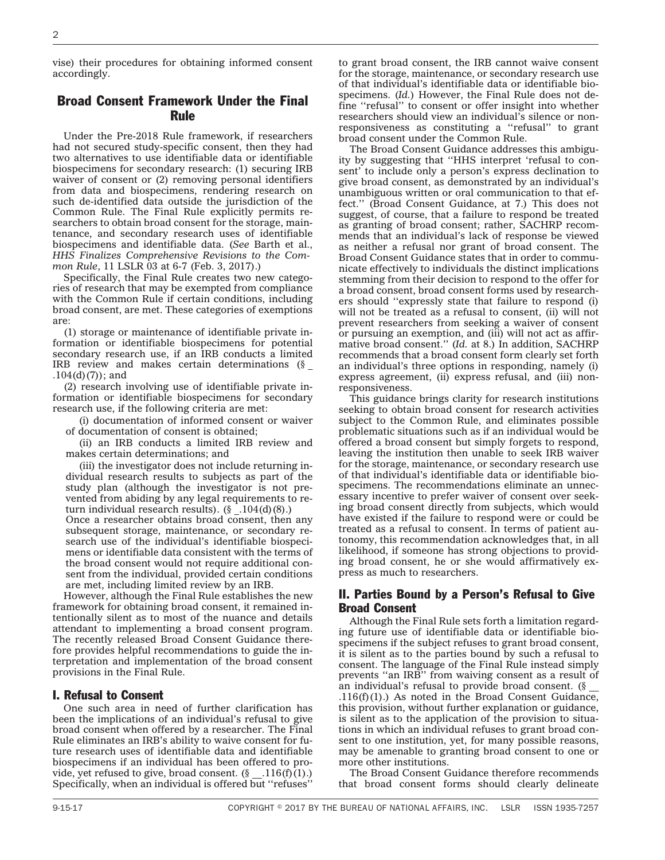vise) their procedures for obtaining informed consent accordingly.

# Broad Consent Framework Under the Final Rule

Under the Pre-2018 Rule framework, if researchers had not secured study-specific consent, then they had two alternatives to use identifiable data or identifiable biospecimens for secondary research: (1) securing IRB waiver of consent or (2) removing personal identifiers from data and biospecimens, rendering research on such de-identified data outside the jurisdiction of the Common Rule. The Final Rule explicitly permits researchers to obtain broad consent for the storage, maintenance, and secondary research uses of identifiable biospecimens and identifiable data. (*See* Barth et al., *HHS Finalizes Comprehensive Revisions to the Common Rule*, 11 LSLR 03 at 6-7 (Feb. 3, 2017).)

Specifically, the Final Rule creates two new categories of research that may be exempted from compliance with the Common Rule if certain conditions, including broad consent, are met. These categories of exemptions are:

(1) storage or maintenance of identifiable private information or identifiable biospecimens for potential secondary research use, if an IRB conducts a limited IRB review and makes certain determinations (§ \_  $.104(d)(7)$ ; and

(2) research involving use of identifiable private information or identifiable biospecimens for secondary research use, if the following criteria are met:

(i) documentation of informed consent or waiver of documentation of consent is obtained;

(ii) an IRB conducts a limited IRB review and makes certain determinations; and

(iii) the investigator does not include returning individual research results to subjects as part of the study plan (although the investigator is not prevented from abiding by any legal requirements to return individual research results).  $(\S$  .  $104(d)(8)$ . Once a researcher obtains broad consent, then any

subsequent storage, maintenance, or secondary research use of the individual's identifiable biospecimens or identifiable data consistent with the terms of the broad consent would not require additional consent from the individual, provided certain conditions are met, including limited review by an IRB.

However, although the Final Rule establishes the new framework for obtaining broad consent, it remained intentionally silent as to most of the nuance and details attendant to implementing a broad consent program. The recently released Broad Consent Guidance therefore provides helpful recommendations to guide the interpretation and implementation of the broad consent provisions in the Final Rule.

#### I. Refusal to Consent

One such area in need of further clarification has been the implications of an individual's refusal to give broad consent when offered by a researcher. The Final Rule eliminates an IRB's ability to waive consent for future research uses of identifiable data and identifiable biospecimens if an individual has been offered to provide, yet refused to give, broad consent.  $(\S_1, 116(f)(1))$ . Specifically, when an individual is offered but ''refuses''

to grant broad consent, the IRB cannot waive consent for the storage, maintenance, or secondary research use of that individual's identifiable data or identifiable biospecimens. (*Id.*) However, the Final Rule does not define ''refusal'' to consent or offer insight into whether researchers should view an individual's silence or nonresponsiveness as constituting a ''refusal'' to grant broad consent under the Common Rule.

The Broad Consent Guidance addresses this ambiguity by suggesting that ''HHS interpret 'refusal to consent' to include only a person's express declination to give broad consent, as demonstrated by an individual's unambiguous written or oral communication to that effect.'' (Broad Consent Guidance, at 7.) This does not suggest, of course, that a failure to respond be treated as granting of broad consent; rather, SACHRP recommends that an individual's lack of response be viewed as neither a refusal nor grant of broad consent. The Broad Consent Guidance states that in order to communicate effectively to individuals the distinct implications stemming from their decision to respond to the offer for a broad consent, broad consent forms used by researchers should ''expressly state that failure to respond (i) will not be treated as a refusal to consent, (ii) will not prevent researchers from seeking a waiver of consent or pursuing an exemption, and (iii) will not act as affirmative broad consent.'' (*Id.* at 8.) In addition, SACHRP recommends that a broad consent form clearly set forth an individual's three options in responding, namely (i) express agreement, (ii) express refusal, and (iii) nonresponsiveness.

This guidance brings clarity for research institutions seeking to obtain broad consent for research activities subject to the Common Rule, and eliminates possible problematic situations such as if an individual would be offered a broad consent but simply forgets to respond, leaving the institution then unable to seek IRB waiver for the storage, maintenance, or secondary research use of that individual's identifiable data or identifiable biospecimens. The recommendations eliminate an unnecessary incentive to prefer waiver of consent over seeking broad consent directly from subjects, which would have existed if the failure to respond were or could be treated as a refusal to consent. In terms of patient autonomy, this recommendation acknowledges that, in all likelihood, if someone has strong objections to providing broad consent, he or she would affirmatively express as much to researchers.

# II. Parties Bound by a Person's Refusal to Give Broad Consent

Although the Final Rule sets forth a limitation regarding future use of identifiable data or identifiable biospecimens if the subject refuses to grant broad consent, it is silent as to the parties bound by such a refusal to consent. The language of the Final Rule instead simply prevents ''an IRB'' from waiving consent as a result of an individual's refusal to provide broad consent.  $(\S$ .116(f)(1).) As noted in the Broad Consent Guidance, this provision, without further explanation or guidance, is silent as to the application of the provision to situations in which an individual refuses to grant broad consent to one institution, yet, for many possible reasons, may be amenable to granting broad consent to one or more other institutions.

The Broad Consent Guidance therefore recommends that broad consent forms should clearly delineate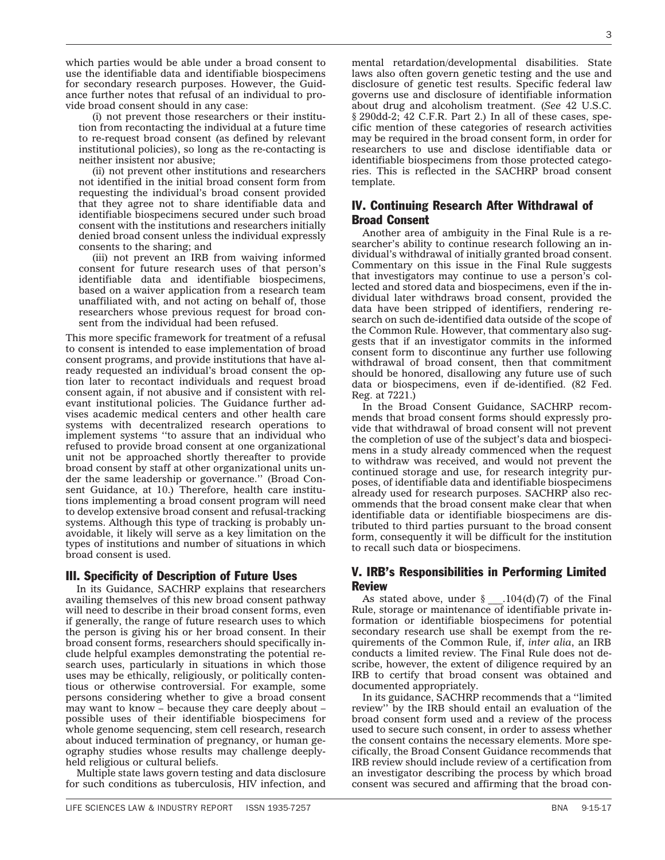which parties would be able under a broad consent to use the identifiable data and identifiable biospecimens for secondary research purposes. However, the Guidance further notes that refusal of an individual to provide broad consent should in any case:

(i) not prevent those researchers or their institution from recontacting the individual at a future time to re-request broad consent (as defined by relevant institutional policies), so long as the re-contacting is neither insistent nor abusive;

(ii) not prevent other institutions and researchers not identified in the initial broad consent form from requesting the individual's broad consent provided that they agree not to share identifiable data and identifiable biospecimens secured under such broad consent with the institutions and researchers initially denied broad consent unless the individual expressly consents to the sharing; and

(iii) not prevent an IRB from waiving informed consent for future research uses of that person's identifiable data and identifiable biospecimens, based on a waiver application from a research team unaffiliated with, and not acting on behalf of, those researchers whose previous request for broad consent from the individual had been refused.

This more specific framework for treatment of a refusal to consent is intended to ease implementation of broad consent programs, and provide institutions that have already requested an individual's broad consent the option later to recontact individuals and request broad consent again, if not abusive and if consistent with relevant institutional policies. The Guidance further advises academic medical centers and other health care systems with decentralized research operations to implement systems ''to assure that an individual who refused to provide broad consent at one organizational unit not be approached shortly thereafter to provide broad consent by staff at other organizational units under the same leadership or governance.'' (Broad Consent Guidance, at 10.) Therefore, health care institutions implementing a broad consent program will need to develop extensive broad consent and refusal-tracking systems. Although this type of tracking is probably unavoidable, it likely will serve as a key limitation on the types of institutions and number of situations in which broad consent is used.

# III. Specificity of Description of Future Uses

In its Guidance, SACHRP explains that researchers availing themselves of this new broad consent pathway will need to describe in their broad consent forms, even if generally, the range of future research uses to which the person is giving his or her broad consent. In their broad consent forms, researchers should specifically include helpful examples demonstrating the potential research uses, particularly in situations in which those uses may be ethically, religiously, or politically contentious or otherwise controversial. For example, some persons considering whether to give a broad consent may want to know – because they care deeply about – possible uses of their identifiable biospecimens for whole genome sequencing, stem cell research, research about induced termination of pregnancy, or human geography studies whose results may challenge deeplyheld religious or cultural beliefs.

Multiple state laws govern testing and data disclosure for such conditions as tuberculosis, HIV infection, and

mental retardation/developmental disabilities. State laws also often govern genetic testing and the use and disclosure of genetic test results. Specific federal law governs use and disclosure of identifiable information about drug and alcoholism treatment. (*See* 42 U.S.C. § 290dd-2; 42 C.F.R. Part 2.) In all of these cases, specific mention of these categories of research activities may be required in the broad consent form, in order for researchers to use and disclose identifiable data or identifiable biospecimens from those protected categories. This is reflected in the SACHRP broad consent template.

# IV. Continuing Research After Withdrawal of Broad Consent

Another area of ambiguity in the Final Rule is a researcher's ability to continue research following an individual's withdrawal of initially granted broad consent. Commentary on this issue in the Final Rule suggests that investigators may continue to use a person's collected and stored data and biospecimens, even if the individual later withdraws broad consent, provided the data have been stripped of identifiers, rendering research on such de-identified data outside of the scope of the Common Rule. However, that commentary also suggests that if an investigator commits in the informed consent form to discontinue any further use following withdrawal of broad consent, then that commitment should be honored, disallowing any future use of such data or biospecimens, even if de-identified. (82 Fed. Reg. at 7221.)

In the Broad Consent Guidance, SACHRP recommends that broad consent forms should expressly provide that withdrawal of broad consent will not prevent the completion of use of the subject's data and biospecimens in a study already commenced when the request to withdraw was received, and would not prevent the continued storage and use, for research integrity purposes, of identifiable data and identifiable biospecimens already used for research purposes. SACHRP also recommends that the broad consent make clear that when identifiable data or identifiable biospecimens are distributed to third parties pursuant to the broad consent form, consequently it will be difficult for the institution to recall such data or biospecimens.

# V. IRB's Responsibilities in Performing Limited Review

As stated above, under  $\frac{8}{5}$  . 104(d)(7) of the Final Rule, storage or maintenance of identifiable private information or identifiable biospecimens for potential secondary research use shall be exempt from the requirements of the Common Rule, if, *inter alia*, an IRB conducts a limited review. The Final Rule does not describe, however, the extent of diligence required by an IRB to certify that broad consent was obtained and documented appropriately.

In its guidance, SACHRP recommends that a ''limited review'' by the IRB should entail an evaluation of the broad consent form used and a review of the process used to secure such consent, in order to assess whether the consent contains the necessary elements. More specifically, the Broad Consent Guidance recommends that IRB review should include review of a certification from an investigator describing the process by which broad consent was secured and affirming that the broad con-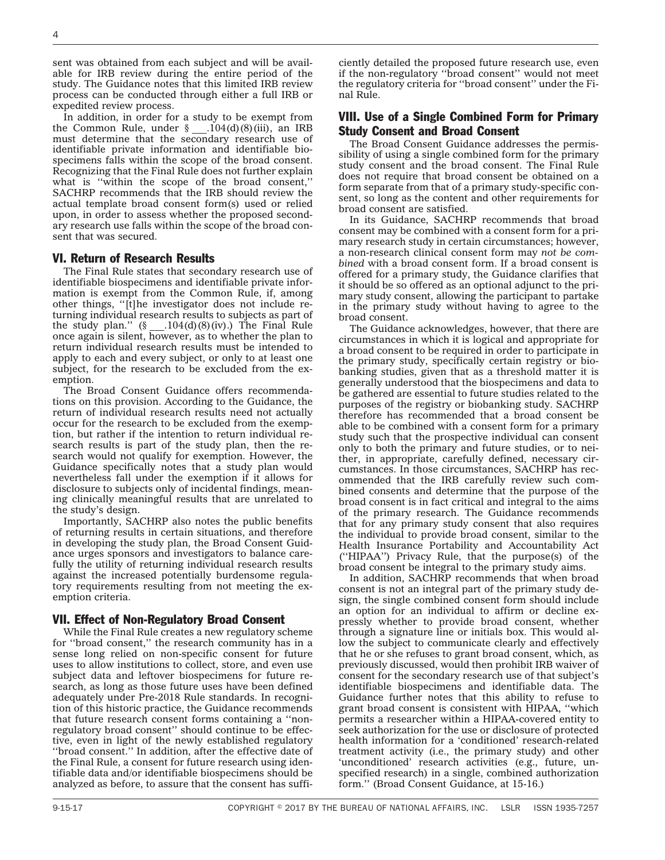sent was obtained from each subject and will be available for IRB review during the entire period of the study. The Guidance notes that this limited IRB review process can be conducted through either a full IRB or expedited review process.

In addition, in order for a study to be exempt from the Common Rule, under  $\S$  .  $104(d)(8)(iii)$ , an IRB must determine that the secondary research use of identifiable private information and identifiable biospecimens falls within the scope of the broad consent. Recognizing that the Final Rule does not further explain what is ''within the scope of the broad consent,'' SACHRP recommends that the IRB should review the actual template broad consent form(s) used or relied upon, in order to assess whether the proposed secondary research use falls within the scope of the broad consent that was secured.

#### VI. Return of Research Results

The Final Rule states that secondary research use of identifiable biospecimens and identifiable private information is exempt from the Common Rule, if, among other things, ''[t]he investigator does not include returning individual research results to subjects as part of the study plan."  $(\S_1, \ldots, \S_4)$  (8)(iv).) The Final Rule once again is silent, however, as to whether the plan to return individual research results must be intended to apply to each and every subject, or only to at least one subject, for the research to be excluded from the exemption.

The Broad Consent Guidance offers recommendations on this provision. According to the Guidance, the return of individual research results need not actually occur for the research to be excluded from the exemption, but rather if the intention to return individual research results is part of the study plan, then the research would not qualify for exemption. However, the Guidance specifically notes that a study plan would nevertheless fall under the exemption if it allows for disclosure to subjects only of incidental findings, meaning clinically meaningful results that are unrelated to the study's design.

Importantly, SACHRP also notes the public benefits of returning results in certain situations, and therefore in developing the study plan, the Broad Consent Guidance urges sponsors and investigators to balance carefully the utility of returning individual research results against the increased potentially burdensome regulatory requirements resulting from not meeting the exemption criteria.

#### VII. Effect of Non-Regulatory Broad Consent

While the Final Rule creates a new regulatory scheme for ''broad consent,'' the research community has in a sense long relied on non-specific consent for future uses to allow institutions to collect, store, and even use subject data and leftover biospecimens for future research, as long as those future uses have been defined adequately under Pre-2018 Rule standards. In recognition of this historic practice, the Guidance recommends that future research consent forms containing a ''nonregulatory broad consent'' should continue to be effective, even in light of the newly established regulatory ''broad consent.'' In addition, after the effective date of the Final Rule, a consent for future research using identifiable data and/or identifiable biospecimens should be analyzed as before, to assure that the consent has sufficiently detailed the proposed future research use, even if the non-regulatory ''broad consent'' would not meet the regulatory criteria for ''broad consent'' under the Final Rule.

# VIII. Use of a Single Combined Form for Primary Study Consent and Broad Consent

The Broad Consent Guidance addresses the permissibility of using a single combined form for the primary study consent and the broad consent. The Final Rule does not require that broad consent be obtained on a form separate from that of a primary study-specific consent, so long as the content and other requirements for broad consent are satisfied.

In its Guidance, SACHRP recommends that broad consent may be combined with a consent form for a primary research study in certain circumstances; however, a non-research clinical consent form may *not be combined* with a broad consent form. If a broad consent is offered for a primary study, the Guidance clarifies that it should be so offered as an optional adjunct to the primary study consent, allowing the participant to partake in the primary study without having to agree to the broad consent.

The Guidance acknowledges, however, that there are circumstances in which it is logical and appropriate for a broad consent to be required in order to participate in the primary study, specifically certain registry or biobanking studies, given that as a threshold matter it is generally understood that the biospecimens and data to be gathered are essential to future studies related to the purposes of the registry or biobanking study. SACHRP therefore has recommended that a broad consent be able to be combined with a consent form for a primary study such that the prospective individual can consent only to both the primary and future studies, or to neither, in appropriate, carefully defined, necessary circumstances. In those circumstances, SACHRP has recommended that the IRB carefully review such combined consents and determine that the purpose of the broad consent is in fact critical and integral to the aims of the primary research. The Guidance recommends that for any primary study consent that also requires the individual to provide broad consent, similar to the Health Insurance Portability and Accountability Act (''HIPAA'') Privacy Rule, that the purpose(s) of the broad consent be integral to the primary study aims.

In addition, SACHRP recommends that when broad consent is not an integral part of the primary study design, the single combined consent form should include an option for an individual to affirm or decline expressly whether to provide broad consent, whether through a signature line or initials box. This would allow the subject to communicate clearly and effectively that he or she refuses to grant broad consent, which, as previously discussed, would then prohibit IRB waiver of consent for the secondary research use of that subject's identifiable biospecimens and identifiable data. The Guidance further notes that this ability to refuse to grant broad consent is consistent with HIPAA, ''which permits a researcher within a HIPAA-covered entity to seek authorization for the use or disclosure of protected health information for a 'conditioned' research-related treatment activity (i.e., the primary study) and other 'unconditioned' research activities (e.g., future, unspecified research) in a single, combined authorization form.'' (Broad Consent Guidance, at 15-16.)